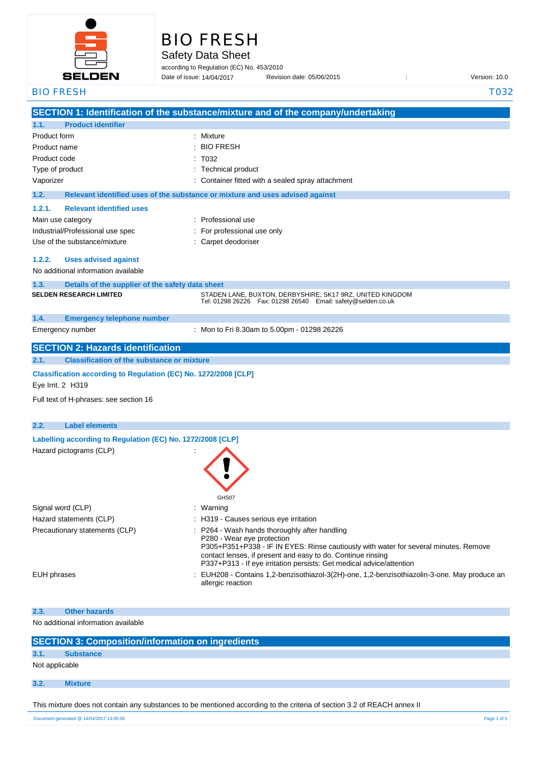

| <b>BIO FRESH</b> |
|------------------|
|                  |
|                  |

Safety Data Sheet

according to Regulation (EC) No. 453/2010 Date of issue: Revision date: 05/06/2015 : Version: 10.0 Date of issue: 14/04/2017

| <b>BIO FRESH</b> |                                                                 | <b>T032</b>                                                                                                                                                                                                                                                                                                |
|------------------|-----------------------------------------------------------------|------------------------------------------------------------------------------------------------------------------------------------------------------------------------------------------------------------------------------------------------------------------------------------------------------------|
|                  |                                                                 | SECTION 1: Identification of the substance/mixture and of the company/undertaking                                                                                                                                                                                                                          |
| 1.1.             | <b>Product identifier</b>                                       |                                                                                                                                                                                                                                                                                                            |
| Product form     |                                                                 | Mixture<br>÷                                                                                                                                                                                                                                                                                               |
| Product name     |                                                                 | <b>BIO FRESH</b>                                                                                                                                                                                                                                                                                           |
| Product code     |                                                                 | T032                                                                                                                                                                                                                                                                                                       |
| Type of product  |                                                                 | <b>Technical product</b>                                                                                                                                                                                                                                                                                   |
| Vaporizer        |                                                                 | Container fitted with a sealed spray attachment                                                                                                                                                                                                                                                            |
| 1.2.             |                                                                 | Relevant identified uses of the substance or mixture and uses advised against                                                                                                                                                                                                                              |
| 1.2.1.           | <b>Relevant identified uses</b>                                 |                                                                                                                                                                                                                                                                                                            |
|                  | Main use category                                               | : Professional use                                                                                                                                                                                                                                                                                         |
|                  | Industrial/Professional use spec                                | For professional use only                                                                                                                                                                                                                                                                                  |
|                  | Use of the substance/mixture                                    | Carpet deodoriser                                                                                                                                                                                                                                                                                          |
| 1.2.2.           | <b>Uses advised against</b>                                     |                                                                                                                                                                                                                                                                                                            |
|                  | No additional information available                             |                                                                                                                                                                                                                                                                                                            |
| 1.3.             | Details of the supplier of the safety data sheet                |                                                                                                                                                                                                                                                                                                            |
|                  | <b>SELDEN RESEARCH LIMITED</b>                                  | STADEN LANE, BUXTON, DERBYSHIRE, SK17 9RZ, UNITED KINGDOM<br>Tel: 01298 26226    Fax: 01298 26540    Email: safety@selden.co.uk                                                                                                                                                                            |
| 1.4.             | <b>Emergency telephone number</b>                               |                                                                                                                                                                                                                                                                                                            |
|                  | Emergency number                                                | : Mon to Fri 8.30am to 5.00pm - 01298 26226                                                                                                                                                                                                                                                                |
|                  | <b>SECTION 2: Hazards identification</b>                        |                                                                                                                                                                                                                                                                                                            |
| 2.1.             | <b>Classification of the substance or mixture</b>               |                                                                                                                                                                                                                                                                                                            |
|                  | Classification according to Regulation (EC) No. 1272/2008 [CLP] |                                                                                                                                                                                                                                                                                                            |
|                  | Eye Irrit. 2 H319                                               |                                                                                                                                                                                                                                                                                                            |
|                  | Full text of H-phrases: see section 16                          |                                                                                                                                                                                                                                                                                                            |
| 2.2.             | <b>Label elements</b>                                           |                                                                                                                                                                                                                                                                                                            |
|                  | Labelling according to Regulation (EC) No. 1272/2008 [CLP]      |                                                                                                                                                                                                                                                                                                            |
|                  | Hazard pictograms (CLP)                                         | <b>GHS07</b>                                                                                                                                                                                                                                                                                               |
|                  | Signal word (CLP)                                               | : Warning                                                                                                                                                                                                                                                                                                  |
|                  | Hazard statements (CLP)                                         | : H319 - Causes serious eye irritation                                                                                                                                                                                                                                                                     |
|                  | Precautionary statements (CLP)                                  | : P264 - Wash hands thoroughly after handling<br>P280 - Wear eye protection<br>P305+P351+P338 - IF IN EYES: Rinse cautiously with water for several minutes. Remove<br>contact lenses, if present and easy to do. Continue rinsing<br>P337+P313 - If eye irritation persists: Get medical advice/attention |
| EUH phrases      |                                                                 | : EUH208 - Contains 1,2-benzisothiazol-3(2H)-one, 1,2-benzisothiazolin-3-one. May produce an<br>allergic reaction                                                                                                                                                                                          |
| 2.3.             | <b>Other hazards</b>                                            |                                                                                                                                                                                                                                                                                                            |
|                  | No additional information available                             |                                                                                                                                                                                                                                                                                                            |
|                  | <b>CECTION 2. Composition information on inquadion</b>          |                                                                                                                                                                                                                                                                                                            |

| <b>SECTION 3: Composition/information on ingredients</b> |                                                                                                                         |
|----------------------------------------------------------|-------------------------------------------------------------------------------------------------------------------------|
| 3.1.                                                     | <b>Substance</b>                                                                                                        |
|                                                          | Not applicable                                                                                                          |
|                                                          |                                                                                                                         |
| 3.2.                                                     | <b>Mixture</b>                                                                                                          |
|                                                          | This mixture does not contain any substances to be mentioned according to the criteria of section 3.2 of REACH annex II |

Document generated @ 14/04/2017 13:05:50 Page 1 of 5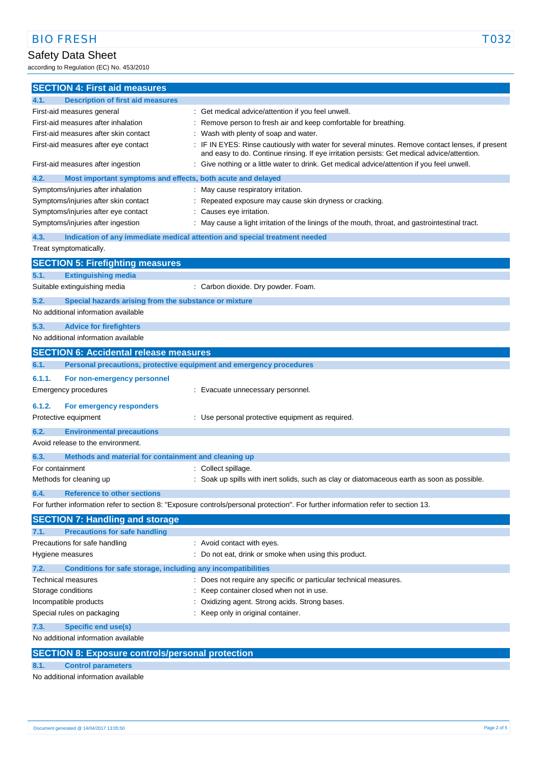## Safety Data Sheet

according to Regulation (EC) No. 453/2010

| <b>SECTION 4: First aid measures</b>                                               |                                                                                                                                                                                               |
|------------------------------------------------------------------------------------|-----------------------------------------------------------------------------------------------------------------------------------------------------------------------------------------------|
| <b>Description of first aid measures</b><br>4.1.                                   |                                                                                                                                                                                               |
| First-aid measures general                                                         | : Get medical advice/attention if you feel unwell.                                                                                                                                            |
| First-aid measures after inhalation                                                | Remove person to fresh air and keep comfortable for breathing.                                                                                                                                |
| First-aid measures after skin contact                                              | Wash with plenty of soap and water.                                                                                                                                                           |
| First-aid measures after eye contact                                               | IF IN EYES: Rinse cautiously with water for several minutes. Remove contact lenses, if present<br>and easy to do. Continue rinsing. If eye irritation persists: Get medical advice/attention. |
| First-aid measures after ingestion                                                 | Give nothing or a little water to drink. Get medical advice/attention if you feel unwell.                                                                                                     |
| Most important symptoms and effects, both acute and delayed<br>4.2.                |                                                                                                                                                                                               |
| Symptoms/injuries after inhalation                                                 | May cause respiratory irritation.                                                                                                                                                             |
| Symptoms/injuries after skin contact                                               | Repeated exposure may cause skin dryness or cracking.                                                                                                                                         |
| Symptoms/injuries after eye contact                                                | Causes eye irritation.                                                                                                                                                                        |
| Symptoms/injuries after ingestion                                                  | May cause a light irritation of the linings of the mouth, throat, and gastrointestinal tract.                                                                                                 |
| 4.3.<br>Indication of any immediate medical attention and special treatment needed |                                                                                                                                                                                               |
| Treat symptomatically.                                                             |                                                                                                                                                                                               |
| <b>SECTION 5: Firefighting measures</b>                                            |                                                                                                                                                                                               |
| 5.1.<br><b>Extinguishing media</b>                                                 |                                                                                                                                                                                               |
| Suitable extinguishing media                                                       | : Carbon dioxide. Dry powder. Foam.                                                                                                                                                           |
| 5.2.<br>Special hazards arising from the substance or mixture                      |                                                                                                                                                                                               |
| No additional information available                                                |                                                                                                                                                                                               |
| 5.3.<br><b>Advice for firefighters</b>                                             |                                                                                                                                                                                               |
| No additional information available                                                |                                                                                                                                                                                               |
| <b>SECTION 6: Accidental release measures</b>                                      |                                                                                                                                                                                               |
| 6.1.<br>Personal precautions, protective equipment and emergency procedures        |                                                                                                                                                                                               |
|                                                                                    |                                                                                                                                                                                               |
| 6.1.1.<br>For non-emergency personnel                                              |                                                                                                                                                                                               |
| Emergency procedures                                                               | : Evacuate unnecessary personnel.                                                                                                                                                             |
| 6.1.2.<br>For emergency responders                                                 |                                                                                                                                                                                               |
| Protective equipment                                                               | : Use personal protective equipment as required.                                                                                                                                              |
| 6.2.<br><b>Environmental precautions</b>                                           |                                                                                                                                                                                               |
| Avoid release to the environment.                                                  |                                                                                                                                                                                               |
| 6.3.<br>Methods and material for containment and cleaning up                       |                                                                                                                                                                                               |
| For containment                                                                    | : Collect spillage.                                                                                                                                                                           |
| Methods for cleaning up                                                            | Soak up spills with inert solids, such as clay or diatomaceous earth as soon as possible.                                                                                                     |
| 6.4.<br><b>Reference to other sections</b>                                         |                                                                                                                                                                                               |
|                                                                                    | For further information refer to section 8: "Exposure controls/personal protection". For further information refer to section 13.                                                             |
| <b>SECTION 7: Handling and storage</b>                                             |                                                                                                                                                                                               |
| <b>Precautions for safe handling</b><br>7.1.                                       |                                                                                                                                                                                               |
| Precautions for safe handling                                                      | : Avoid contact with eyes.                                                                                                                                                                    |
| Hygiene measures                                                                   | : Do not eat, drink or smoke when using this product.                                                                                                                                         |
| Conditions for safe storage, including any incompatibilities<br>7.2.               |                                                                                                                                                                                               |
| Technical measures                                                                 | Does not require any specific or particular technical measures.                                                                                                                               |
| Storage conditions                                                                 | Keep container closed when not in use.                                                                                                                                                        |
| Incompatible products                                                              | Oxidizing agent. Strong acids. Strong bases.                                                                                                                                                  |
| Special rules on packaging                                                         | Keep only in original container.                                                                                                                                                              |
| 7.3.<br><b>Specific end use(s)</b>                                                 |                                                                                                                                                                                               |
| No additional information available                                                |                                                                                                                                                                                               |
| <b>SECTION 8: Exposure controls/personal protection</b>                            |                                                                                                                                                                                               |
| 8.1.<br><b>Control parameters</b>                                                  |                                                                                                                                                                                               |

No additional information available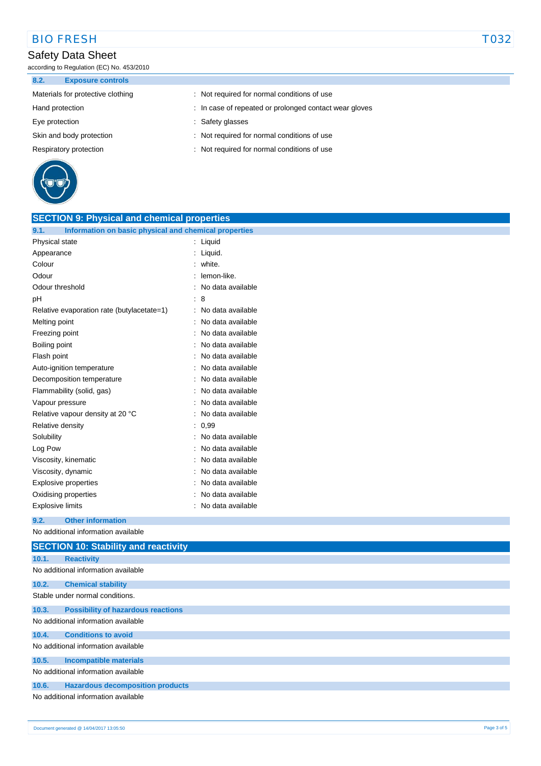# BIO FRESH TO32

## Safety Data Sheet

according to Regulation (EC) No. 453/2010

**8.2. Exposure controls**

| $\sim$ . $\sim$ .<br><b>EXPOSULE OUTILE VIS</b> |                                                        |
|-------------------------------------------------|--------------------------------------------------------|
| Materials for protective clothing               | : Not required for normal conditions of use            |
| Hand protection                                 | : In case of repeated or prolonged contact wear gloves |
| Eye protection                                  | : Safety glasses                                       |
| Skin and body protection                        | : Not required for normal conditions of use            |
| Respiratory protection                          | : Not required for normal conditions of use            |
|                                                 |                                                        |



| <b>SECTION 9: Physical and chemical properties</b>            |                                |
|---------------------------------------------------------------|--------------------------------|
| 9.1.<br>Information on basic physical and chemical properties |                                |
| Physical state                                                | : Liquid                       |
| Appearance                                                    | : Liquid.                      |
| Colour                                                        | : white.                       |
| Odour                                                         | : lemon-like.                  |
| Odour threshold                                               | : No data available            |
| pH                                                            | : 8                            |
| Relative evaporation rate (butylacetate=1)                    | : No data available            |
| Melting point                                                 | : No data available            |
| Freezing point                                                | No data available              |
| Boiling point                                                 | : No data available            |
| Flash point                                                   | : No data available            |
| Auto-ignition temperature                                     | No data available              |
| Decomposition temperature                                     | : No data available            |
| Flammability (solid, gas)                                     | No data available              |
| Vapour pressure                                               | No data available              |
| Relative vapour density at 20 °C                              | : No data available            |
| Relative density                                              | : 0.99                         |
| Solubility                                                    | No data available              |
| Log Pow                                                       | $\therefore$ No data available |
| Viscosity, kinematic                                          | No data available              |
| Viscosity, dynamic                                            | No data available              |
| <b>Explosive properties</b>                                   | : No data available            |
| Oxidising properties                                          | No data available              |
| Explosive limits                                              | : No data available            |

**9.2. Other information**

No additional information available

|       | <b>SECTION 10: Stability and reactivity</b> |
|-------|---------------------------------------------|
| 10.1. | <b>Reactivity</b>                           |
|       | No additional information available         |
| 10.2. | <b>Chemical stability</b>                   |
|       | Stable under normal conditions.             |
| 10.3. | <b>Possibility of hazardous reactions</b>   |
|       | No additional information available         |
| 10.4. | <b>Conditions to avoid</b>                  |
|       | No additional information available         |
| 10.5. | <b>Incompatible materials</b>               |
|       | No additional information available         |
| 10.6. | <b>Hazardous decomposition products</b>     |
|       | No additional information available         |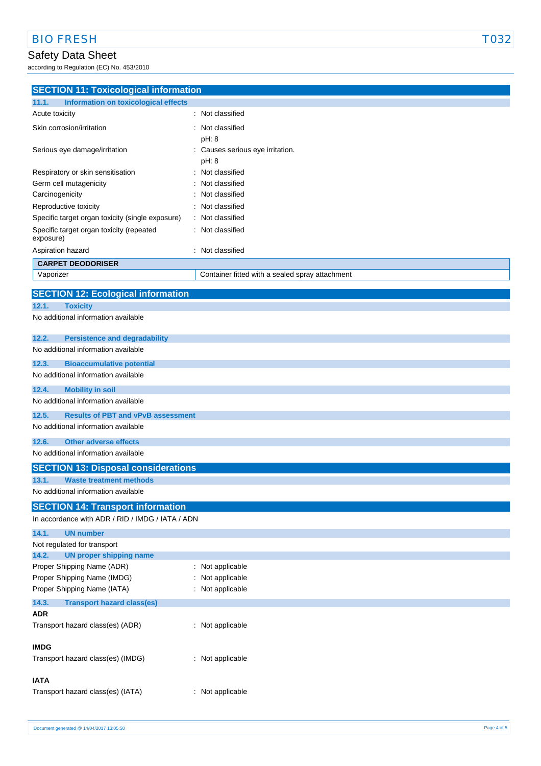## Safety Data Sheet

according to Regulation (EC) No. 453/2010

## **SECTION 11: Toxicological information 11.1. Information on toxicological effects** Acute toxicity **in the case of the contract of the case of the contract of the contract of the contract of the contract of the contract of the contract of the contract of the contract of the contract of the contract of the** Skin corrosion/irritation **in the set of the set of the set of the set of the set of the set of the set of the set of the set of the set of the set of the set of the set of the set of the set of the set of the set of the s** pH: 8 Serious eye damage/irritation : Causes serious eye irritation. pH: 8 Respiratory or skin sensitisation : Not classified Germ cell mutagenicity **Example 20 Figure 10** Figure 2011 : Not classified Carcinogenicity **Carcinogenicity** : Not classified Reproductive toxicity **in the contract of the CRS** in Not classified Specific target organ toxicity (single exposure) : Not classified Specific target organ toxicity (repeated exposure) : Not classified Aspiration hazard **in the set of the set of the set of the set of the set of the set of the set of the set of the set of the set of the set of the set of the set of the set of the set of the set of the set of the set of th CARPET DEODORISER** Vaporizer Container fitted with a sealed spray attachment **SECTION 12: Ecological information 12.1. Toxicity** No additional information available **12.2. Persistence and degradability** No additional information available **12.3. Bioaccumulative potential** No additional information available **12.4. Mobility in soil** No additional information available **12.5. Results of PBT and vPvB assessment** No additional information available **12.6. Other adverse effects** No additional information available **SECTION 13: Disposal considerations 13.1. Waste treatment methods** No additional information available **SECTION 14: Transport information** In accordance with ADR / RID / IMDG / IATA / ADN **14.1. UN number** Not regulated for transport **14.2. UN proper shipping name** Proper Shipping Name (ADR) : Not applicable Proper Shipping Name (IMDG) : Not applicable Proper Shipping Name (IATA) : Not applicable **14.3. Transport hazard class(es) ADR** Transport hazard class(es) (ADR) : Not applicable **IMDG** Transport hazard class(es) (IMDG) : Not applicable

### **IATA**

| Transport hazard class(es) (IATA) | : Not applicable |
|-----------------------------------|------------------|